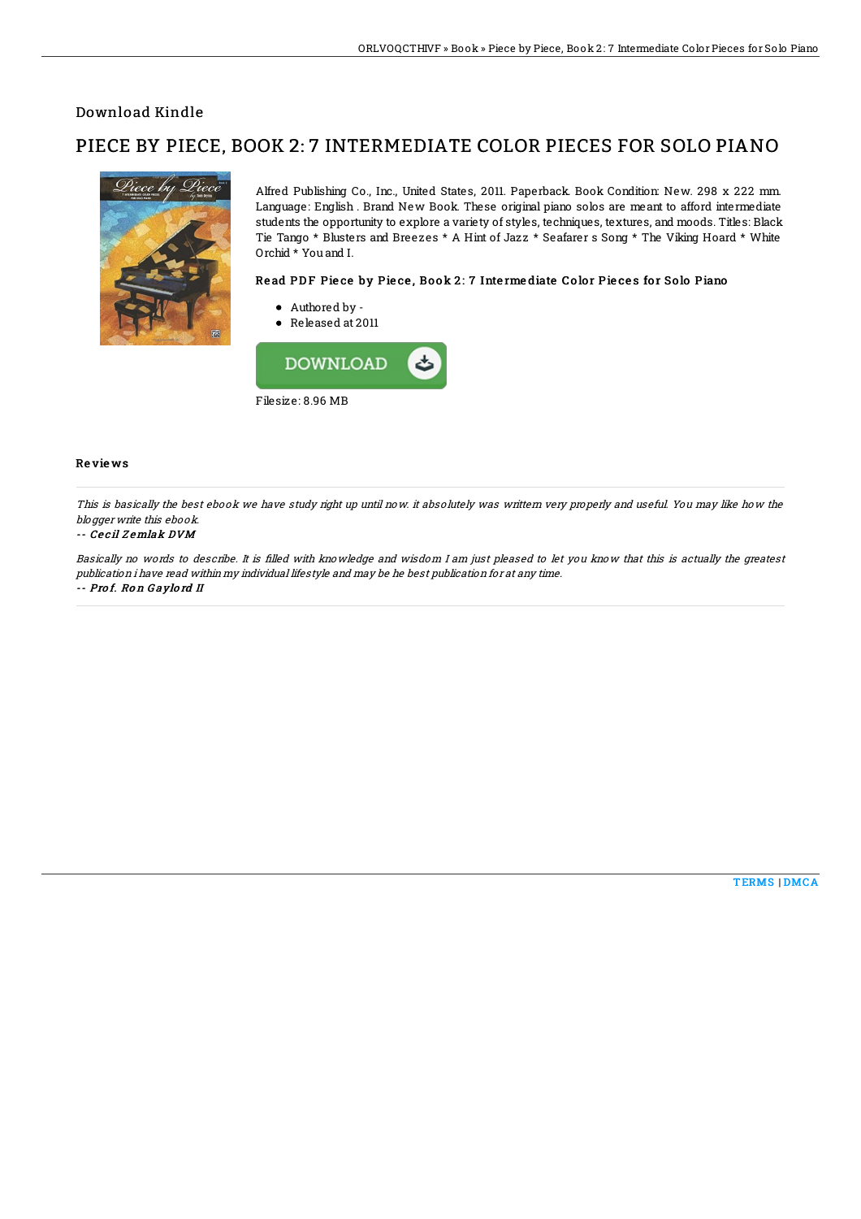## Download Kindle

# PIECE BY PIECE, BOOK 2: 7 INTERMEDIATE COLOR PIECES FOR SOLO PIANO



Alfred Publishing Co., Inc., United States, 2011. Paperback. Book Condition: New. 298 x 222 mm. Language: English . Brand New Book. These original piano solos are meant to afford intermediate students the opportunity to explore a variety of styles, techniques, textures, and moods. Titles: Black Tie Tango \* Blusters and Breezes \* A Hint of Jazz \* Seafarer s Song \* The Viking Hoard \* White Orchid \* You and I.

### Read PDF Piece by Piece, Book 2: 7 Intermediate Color Pieces for Solo Piano

- Authored by -
- Released at 2011



#### Re vie ws

This is basically the best ebook we have study right up until now. it absolutely was writtern very properly and useful. You may like how the blogger write this ebook.

#### -- Ce c il Z emlak DVM

Basically no words to describe. It is filled with knowledge and wisdom I am just pleased to let you know that this is actually the greatest publication i have read within my individual lifestyle and may be he best publication for at any time. -- Prof. Ron Gaylord II